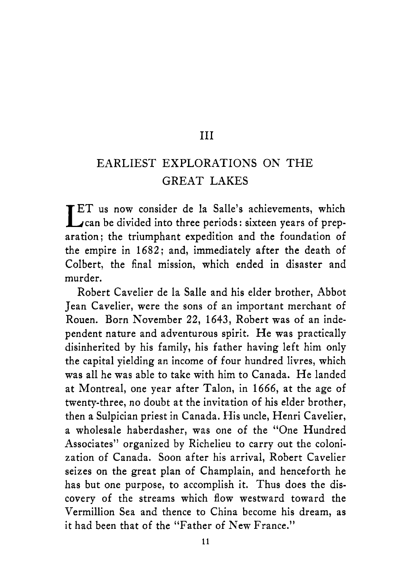#### I11

#### EARLIEST EXPLORATIONS ON THE GREAT LAKES

**IET** us now consider de la Salle's achievements, which can be divided into three periods: sixteen years of preparation; the triumphant expedition and the foundation of the empire in **1682;** and, immediately after the death of Colbert, the final mission, which ended in disaster and murder.

Robert Cavelier de la Salle and his elder brother, Abbot Jean Cavelier, were the sons of an important merchant of Rouen. Born November **22, 1643,** Robert was of an independent nature and adventurous spirit. He was practically disinherited by his family, his father having left him only the capital yielding an income of four hundred livres, which was all he was able to take with him to Canada. He landed at Montreal, one year after Talon, in **1666,** at the age of twenty-three, no doubt at the invitation of his elder brother, then a Sulpician priest in Canada. His uncle, Henri Cavelier, a wholesale haberdasher, was one of the "One Hundred Associates" organized by Richelieu to carry out the colonization of Canada. Soon after his arrival, Robert Cavelier seizes on the great plan of Champlain, and henceforth he has but one purpose, to accomplish it. Thus does the discovery of the streams which flow westward toward the Vermillion Sea and thence to China become his dream, as it had been that of the "Father of New France."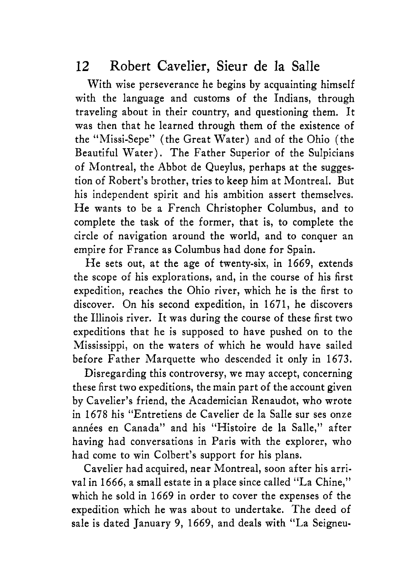With wise perseverance he begins by acquainting himself with the language and customs of the Indians, through traveling about in their country, and questioning them. It was then that he learned through them of the existence of the "Missi-Sepe" (the Great Water) and of the Ohio (the Beautiful Water). The Father Superior of the Sulpicians of Montreal, the Abbot de Queylus, perhaps at the suggestion of Robert's brother, tries to keep him at Montreal. But his independent spirit and his ambition assert themselves. He wants to be a French Christopher Columbus, and to complete the task of the former, that is, to complete the circle of navigation around the world, and to conquer an empire for France as Columbus had done for Spain.

He sets out, at the age of twenty-six, in 1669, extends the scope of his explorations, and, in the course of his first expedition, reaches the Ohio river, which he is the first to discover. On his second expedition, in 1671, he discovers the Illinois river. It was during the course of these first two expeditions that he is supposed to have pushed on to the Mississippi, on the waters of which he would have sailed before Father Marquette who descended it only in 1673.

Disregarding this controversy, we may accept, concerning these first two expeditions, the main part of the account given by Cavelier's friend, the Academician Renaudot, who wrote in 1678 his "Entretiens de Cavelier de la Salle sur ses onze années en Canada" and his "Histoire de la Salle," after having had conversations in Paris with the explorer, who had come to win Colbert's support for his plans.

Cavelier had acquired, near Montreal, soon after his arrival in 1666, a small estate in a place since called "La Chine," which he sold in 1669 in order to cover the expenses of the expedition which he was about to undertake. The deed of sale is dated January 9, 1669, and deals with "La Seigneu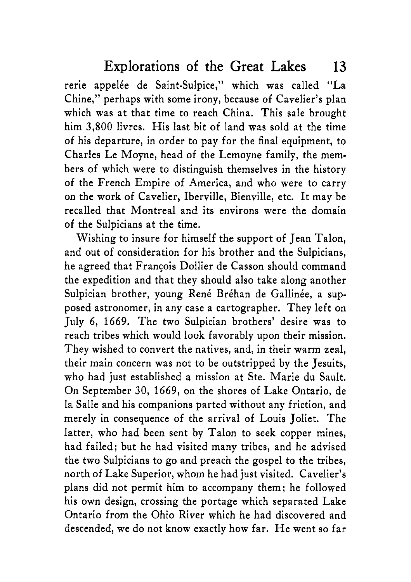rerie appelée de Saint-Sulpice," which was called "La Chine," perhaps with some irony, because of Cavelier's plan which was at that time to reach China. This sale brought him 3,800 livres. His last bit of land was sold at the time of his departure, in order to pay for the final equipment, to Charles Le Moyne, head of the Lemoyne family, the members of which were to distinguish themselves in the history of the French Empire of America, and who were to carry on the work of Cavelier, Iberville, Bienville, etc. It may be recalled that Montreal and its environs were the domain of the Sulpicians at the time.

Wishing to insure for himself the support of Jean Talon, and out of consideration for his brother and the Sulpicians, he agreed that François Dollier de Casson should command the expedition and that they should also take along another Sulpician brother, young René Bréhan de Gallinée, a supposed astronomer, in any case a cartographer. They left on July 6, 1669. The two Sulpician brothers' desire was to reach tribes which would look favorably upon their mission. They wished to convert the natives, and, in their warm zeal, their main concern was not to be outstripped by the Jesuits, who had just established a mission at Ste. Marie du Sault. On September 30, 1669, on the shores of Lake Ontario, de la Salle and his companions parted without any friction, and merely in consequence of the arrival of Louis Joliet. The latter, who had been sent by Talon to seek copper mines, had failed; but he had visited many tribes, and he advised the two Sulpicians to go and preach the gospel to the tribes, north of Lake Superior, whom he had just visited. Cavelier's plans did not permit him to accompany them; he followed his own design, crossing the portage which separated Lake Ontario from the Ohio River which he had discovered and descended, we do not know exactly how far. He went so far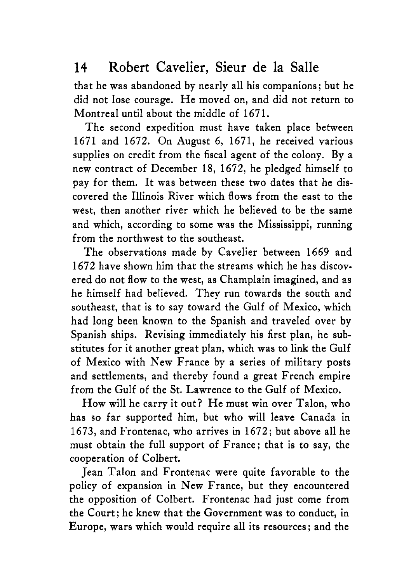that he was abandoned by nearly all his companions; but he did not lose courage. He moved on, and did not return to Montreal until about the middle of 1671.

The second expedition must have taken place between 1671 and 1672. On August 6, 1671, he received various supplies on credit from the fiscal agent of the colony. By a new contract of December 18, 1672, he pledged himself to pay for them. It was between these two dates that he discovered the Illinois River which flows from the east to the west, then another river which he believed to be the same and which, according to some was the Mississippi, running from the northwest to the southeast.

The observations made by Cavelier between 1669 and 1672 have shown him that the streams which he has discovered do not flow to the west, as Champlain imagined, and as he himself had believed. They run towards the south and southeast, that is to say toward the Gulf of Mexico, which had long been known to the Spanish and traveled over by Spanish ships. Revising immediately his first plan, he substitutes for it another great plan, which was to link the Gulf of Mexico with New France by a series of military posts and settlements, and thereby found a great French empire from the Gulf of the St. Lawrence to the Gulf of Mexico.

How will he carry it out? He must win over Talon, who has so far supported him, but who will leave Canada in 1673, and Frontenac, who arrives in 1672; but above all he must obtain the full support of France: that is to say, the cooperation of Colbert.

Jean Talon and Frontenac were quite favorable to the policy of expansion in New France, but they encountered the opposition of Colbert. Frontenac had just come from the Court; he knew that the Government was to conduct, in Europe, wars which would require all its resources : and the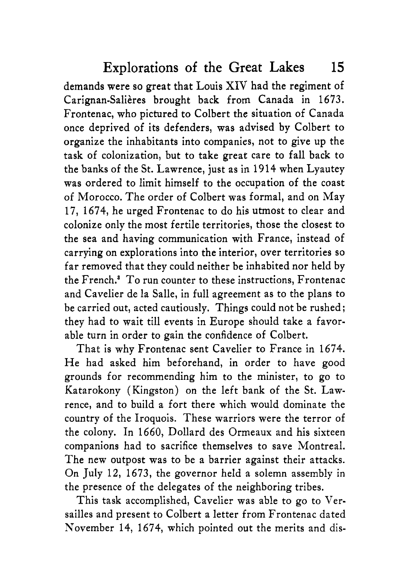demands were so great that Louis XIV had the regiment of Carignan-Salières brought back from Canada in 1673. Frontenac, who pictured to Colbert the situation of Canada once deprived of its defenders, was advised by Colbert to organize the inhabitants into companies, not to give up the task of colonization, but to take great care to fall back to the banks of the St. Lawrence, just as in 1914 when Lyautey was ordered to limit himself to the occupation of the coast of Morocco. The order of Colbert was formal, and on May 17, 1674, he urged Frontenac to do his utmost to clear and colonize only the most fertile territories, those the closest to the sea and having communication with France, instead of carrying on explorations into the interior, over territories so far removed that they could neither be inhabited nor held by the French.<sup>3</sup> To run counter to these instructions, Frontenac and Cavelier de la Salle, in full agreement as to the plans to be carried out, acted cautiously. Things could not be rushed; they had to wait till events in Europe should take a favorable turn in order to gain the confidence of Colbert.

That is why Frontenac sent Cavelier to France in 1674. He had asked him beforehand, in order to have good grounds for recommending him to the minister, to go to Katarokony (Kingston) on the left bank of the St. Lawrence, and to build a fort there which would dominate the country of the Iroquois. These warriors were the terror of the colony. In 1660, Dollard des Ormeaux and his sixteen companions had to sacrifice themselves to save Montreal. The new outpost was to be a barrier against their attacks. On July 12, 1673, the governor held a solemn assembly in the presence of the delegates of the neighboring tribes.

This task accomplished, Cavelier was able to go to Versailles and present to Colbert a letter from Frontenac dated November 14, 1674, which pointed out the merits and dis-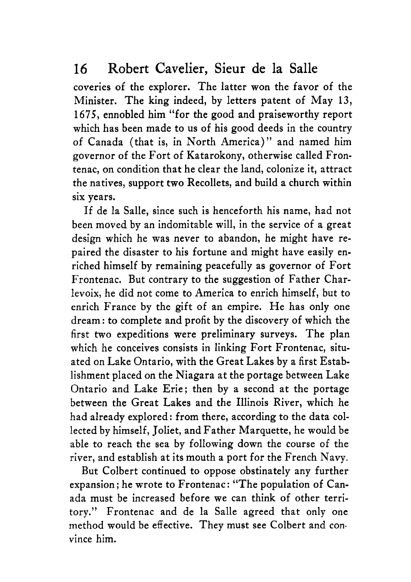coveries of the explorer. The latter won the favor of the Minister. The king indeed, by letters patent of May **13,**  1675, ennobled him "for the good and praiseworthy report which has been made to us of his good deeds in the country of Canada (that is, in North America)" and named him governor of the Fort of Katarokony, otherwise called Frontenat, on condition that he clear the land, colonize it, attract the natives, support two Recollets, and build a church within six years.

If de la Salle, since such is henceforth his name, had not been moved by an indomitable will, in the service of a great design which he was never to abandon, he might have repaired the disaster to his fortune and might have easily enriched himself by remaining peacefully as governor of Fort Frontenac. But contrary to the suggestion of Father Charlevoix, he did not come to America to enrich himself, but to enrich France by the gift of an empire. He has only one dream : to complete and profit by the discovery of which the first two expeditions were preliminary surveys. The plan which he conceives consists in linking Fort Frontenac, situated on Lake Ontario, with the Great Lakes by a first Establishment placed on the Niagara at the portage between Lake Ontario and Lake Erie; then by a second at the portage between the Great Lakes and the Illinois River, which he had already explored: from there, according to the data collected by himself, Joliet, and Father Marquette, he would be able to reach the sea by following down the course of the river, and establish at its mouth a port for the French Navy.

But Colbert continued to oppose obstinately any further expansion; he wrote to Frontenac: "The population of Canada must be increased before we can think of other territory." Frontenac and de la Salle agreed that only one method would be effective. They must see Colbert and con. vince him.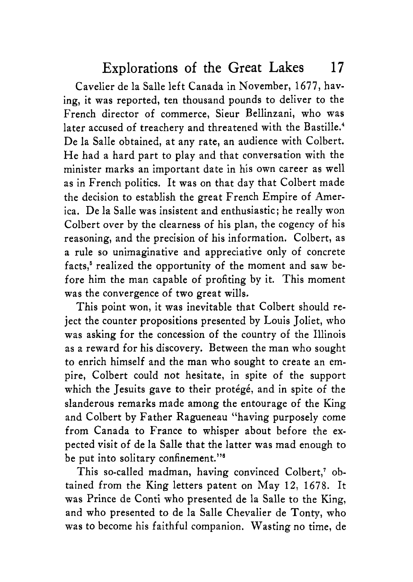Cavelier de la Salle left Canada in November, 1677, having, it was reported, ten thousand pounds to deliver to the French director of commerce, Sieur Bellinzani, who was later accused of treachery and threatened with the Bastille.<sup>4</sup> De la Salle obtained, at any rate, an audience with Colbert. He had a hard part to play and that conversation with the minister marks an important date in his own career as well as in French politics. It was on that day that Colbert made the decision to establish the great French Empire of America. De la Salle was insistent and enthusiastic; he really won Colbert over by the clearness of his plan, the cogency of his reasoning, and the precision of his information. Colbert, as a rule so unimaginative and appreciative only of concrete facts,' realized the opportunity of the moment and saw before him the man capable of profiting by it. This moment was the convergence of two great wills.

This point won, it was inevitable that Colbert should reject the counter propositions presented by Louis Joliet, who was asking for the concession of the country of the Illinois as a reward for his discovery. Between the man who sought to enrich himself and the man who sought to create an empire, Colbert could not hesitate, in spite of the support which the Jesuits gave to their protégé, and in spite of the slanderous remarks made among the entourage of the King and Colbert by Father Ragueneau "having purposely come from Canada to France to whisper about before the expected visit of de la Salle that the latter was mad enough to be put into solitary confinement."<sup>6</sup>

This so-called madman, having convinced Colbert,' obtained from the King letters patent on May **12,** 1678. It was Prince de Conti who presented de la Salle to the King, and who presented to de la Salle Chevalier de Tonty, who was to become his faithful companion. Wasting no time, de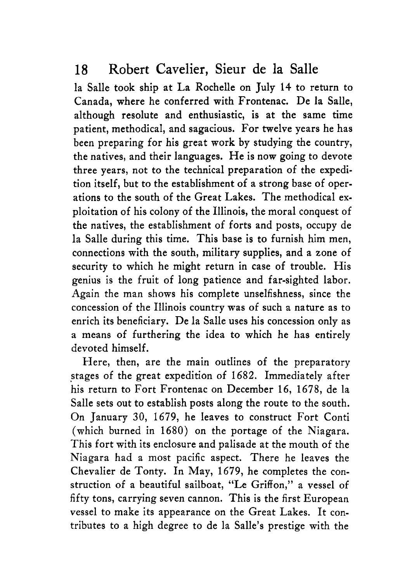la Salle took ship at La Rochelle on July 14 to return to Canada, where he conferred with Frontenac. De la Salle, although resolute and enthusiastic, is at the same time patient, methodical, and sagacious. For twelve years he has been preparing for his great work by studying the country, the natives, and their languages. He is now going to devote three years, not to the technical preparation of the expedition itself, but to the establishment of a strong base of operations to the south of the Great Lakes. The methodical exploitation of his colony of the Illinois, the moral conquest of the natives, the establishment of forts and posts, occupy de la Salle during this time. This base is to furnish him men, connections with the south, military supplies, and a zone of security to which he might return in case of trouble. His genius is the fruit of long patience and far-sighted labor. Again the man shows his complete unselfishness, since the concession of the Illinois country was of such a nature **as** to enrich its beneficiary. De la Salle uses his concession only as a means of furthering the idea to which he has entirely devoted himself.

Here, then, are the main outlines of the preparatory stages of the great expedition of 1682. Immediately after his return to Fort Frontenac on December 16, 1678, de la Salle sets out to establish posts along the route to the south. On January 30, 1679, he leaves to construct Fort Conti (which burned in 1680) on the portage of the Niagara. This fort with its enclosure and palisade at the mouth of the Niagara had a most pacific aspect. There he leaves the Chevalier de Tonty. In May, 1679, he completes the construction of a beautiful sailboat, "Le Griffon," a vessel of fifty tons, carrying seven cannon. This is the first European vessel to make its appearance on the Great Lakes. It contributes to a high degree to de la Salle's prestige with the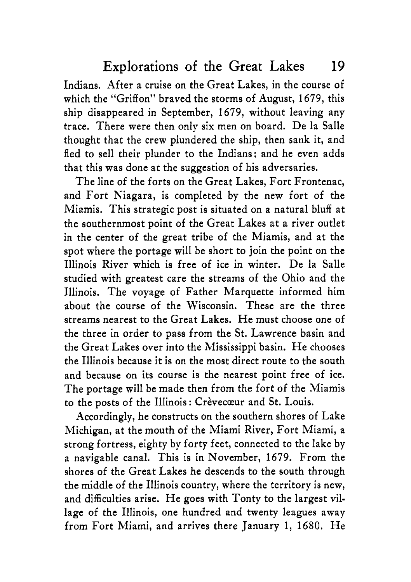Indians. After a cruise on the Great Lakes, in the course of which the "Griffon" braved the storms of August, 1679, this ship disappeared in September, 1679, without leaving any trace. There were then only six men on board. De la Salle thought that the crew plundered the ship, then sank it, and fled to sell their plunder to the Indians; and he even adds that this was done at the suggestion of his adversaries.

The line of the forts on the Great Lakes, Fort Frontenac, and Fort Niagara, is completed by the new fort of the Miamis. This strategic post is situated on a natural bluff at the southernmost point of the Great Lakes at a river outlet in the center of the great tribe of the Miamis, and at the spot where the portage will be short to join the point on the Illinois River which is free of ice in winter. De la Salle studied with greatest care the streams of the Ohio and the Illinois. The voyage of Father Marquette informed him about the course of the Wisconsin. These are the three streams nearest to the Great Lakes. He must choose one of the three in order to pass from the St. Lawrence basin and the Great Lakes over into the Mississippi basin. He chooses the Illinois because it is on the most direct route to the south and because on its course is the nearest point free of ice. The portage will be made then from the fort of the Miamis to the posts of the Illinois: Crèvecœur and St. Louis.

Accordingly, he constructs on the southern shores of Lake Michigan, at the mouth of the Miami River, Fort Miami, a strong fortress, eighty by forty feet, connected to the lake by a navigable canal. This is in November, 1679. From the shores of the Great Lakes he descends to the south through the middle of the Illinois country, where the territory is new, and difficulties arise. He goes with Tonty to the largest village of the Illinois, one hundred and twenty leagues away from Fort Miami, and arrives there January 1, 1680. He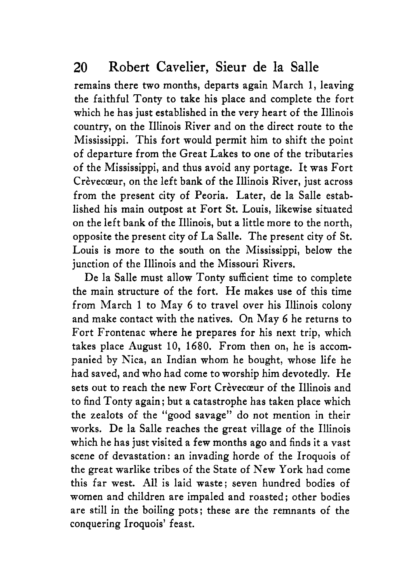remains there two months, departs again March 1, leaving the faithful Tonty to take his place and complete the fort which he has just established in the very heart of the Illinois country, on the Illinois River and on the direct route to the Mississippi. This fort would permit him to shift the point of departure from the Great Lakes to one of the tributaries of the Mississippi, and thus avoid any portage. It was Fort Crèvecœur, on the left bank of the Illinois River, just across from the present city of Peoria. Later, de la Salle established his main outpost at Fort St. Louis, likewise situated on the left bank of the Illinois, but a little more to the north, opposite the present city of La Salle. The present city of St. Louis is more to the south on the Mississippi, below the junction of the Illinois and the Missouri Rivers.

De la Salle must allow Tonty sufficient time to complete the main structure of the fort. He makes use of this time from March 1 to May 6 to travel over his Illinois colony and make contact with the natives. On May 6 he returns to Fort Frontenac where he prepares for his next trip, which takes place August 10, 1680. From then on, he is accompanied by Nica, an Indian whom he bought, whose life he had saved, and who had come to worship him devotedly. He sets out to reach the new Fort Crèvecœur of the Illinois and to find Tonty again: but a catastrophe has taken place which the zealots of the "good savage" do not mention in their works. De la Salle reaches the great village of the Illinois which he has just visited a few months ago and finds it a vast scene of devastation: an invading horde of the Iroquois of the great warlike tribes of the State of New York had come this far west. All is laid waste; seven hundred bodies of women and children are impaled and roasted ; other bodies are still in the boiling pots: these are the remnants of the conquering Iroquois' feast.